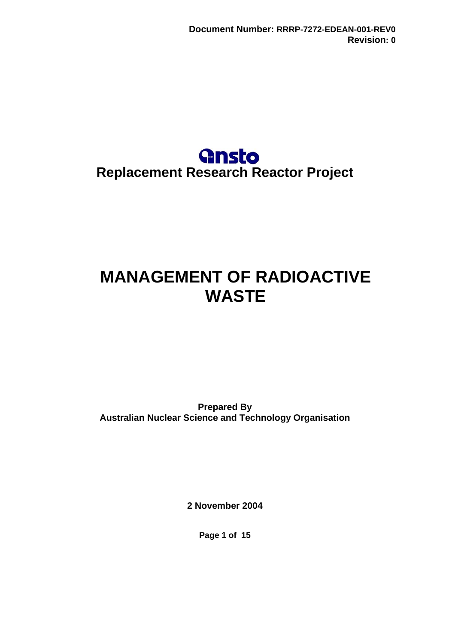# **Gnsto Replacement Research Reactor Project**

# <span id="page-0-0"></span>**MANAGEMENT OF RADIOACTIVE WASTE**

**Prepared By Australian Nuclear Science and Technology Organisation** 

**2 November 2004** 

**Page 1 of 15**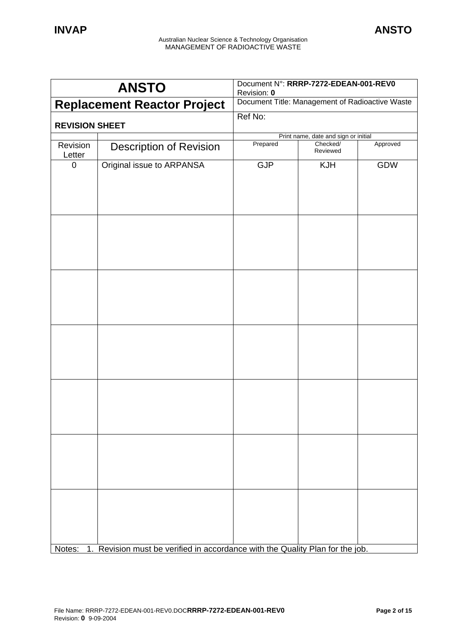| <b>ANSTO</b>               |                                                                            | Document N°: RRRP-7272-EDEAN-001-REV0<br>Revision: 0 |                                      |          |
|----------------------------|----------------------------------------------------------------------------|------------------------------------------------------|--------------------------------------|----------|
|                            | <b>Replacement Reactor Project</b>                                         | Document Title: Management of Radioactive Waste      |                                      |          |
| <b>REVISION SHEET</b>      |                                                                            | Ref No:                                              |                                      |          |
|                            |                                                                            |                                                      | Print name, date and sign or initial |          |
| Revision<br>Letter         | <b>Description of Revision</b>                                             | Prepared                                             | Checked/<br>Reviewed                 | Approved |
| $\mathbf 0$                | Original issue to ARPANSA                                                  | <b>GJP</b>                                           | <b>KJH</b>                           | GDW      |
|                            |                                                                            |                                                      |                                      |          |
|                            |                                                                            |                                                      |                                      |          |
|                            |                                                                            |                                                      |                                      |          |
|                            |                                                                            |                                                      |                                      |          |
|                            |                                                                            |                                                      |                                      |          |
|                            |                                                                            |                                                      |                                      |          |
|                            |                                                                            |                                                      |                                      |          |
|                            |                                                                            |                                                      |                                      |          |
|                            |                                                                            |                                                      |                                      |          |
|                            |                                                                            |                                                      |                                      |          |
|                            |                                                                            |                                                      |                                      |          |
|                            |                                                                            |                                                      |                                      |          |
|                            |                                                                            |                                                      |                                      |          |
|                            |                                                                            |                                                      |                                      |          |
| Notes:<br>$\overline{1}$ . | Revision must be verified in accordance with the Quality Plan for the job. |                                                      |                                      |          |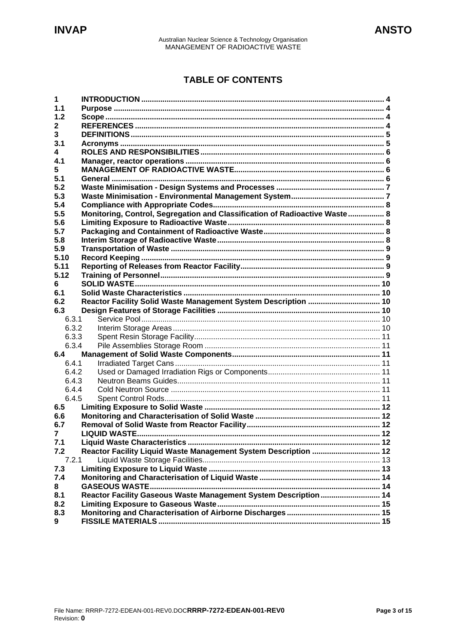# **TABLE OF CONTENTS**

| 1              |                                                                            |  |  |
|----------------|----------------------------------------------------------------------------|--|--|
| 1.1            |                                                                            |  |  |
| 1.2            |                                                                            |  |  |
| 2              |                                                                            |  |  |
| 3              |                                                                            |  |  |
| 3.1            |                                                                            |  |  |
| 4              |                                                                            |  |  |
| 4.1            |                                                                            |  |  |
| 5.             |                                                                            |  |  |
| 5.1            |                                                                            |  |  |
| 5.2            |                                                                            |  |  |
| 5.3            |                                                                            |  |  |
| 5.4            |                                                                            |  |  |
| 5.5            | Monitoring, Control, Segregation and Classification of Radioactive Waste 8 |  |  |
| 5.6            |                                                                            |  |  |
| 5.7            |                                                                            |  |  |
| 5.8            |                                                                            |  |  |
| 5.9            |                                                                            |  |  |
| 5.10           |                                                                            |  |  |
| 5.11           |                                                                            |  |  |
| 5.12           |                                                                            |  |  |
| 6              |                                                                            |  |  |
| 6.1            |                                                                            |  |  |
| 6.2            | Reactor Facility Solid Waste Management System Description  10             |  |  |
| 6.3            |                                                                            |  |  |
| 6.3.1          |                                                                            |  |  |
| 6.3.2          |                                                                            |  |  |
| 6.3.3          |                                                                            |  |  |
| 6.3.4          |                                                                            |  |  |
| 6.4            |                                                                            |  |  |
| 6.4.1          |                                                                            |  |  |
| 6.4.2          |                                                                            |  |  |
| 6.4.3          |                                                                            |  |  |
| 6.4.4          |                                                                            |  |  |
| 6.4.5          |                                                                            |  |  |
| 6.5            |                                                                            |  |  |
| 6.6            |                                                                            |  |  |
| 6.7            |                                                                            |  |  |
| $\overline{7}$ |                                                                            |  |  |
| 7.1            |                                                                            |  |  |
| 7.2            | Reactor Facility Liquid Waste Management System Description  12            |  |  |
| 7.2.1          |                                                                            |  |  |
| 7.3            |                                                                            |  |  |
| 7.4            |                                                                            |  |  |
| 8              |                                                                            |  |  |
| 8.1            | Reactor Facility Gaseous Waste Management System Description  14           |  |  |
| 8.2            |                                                                            |  |  |
| 8.3            |                                                                            |  |  |
| 9              |                                                                            |  |  |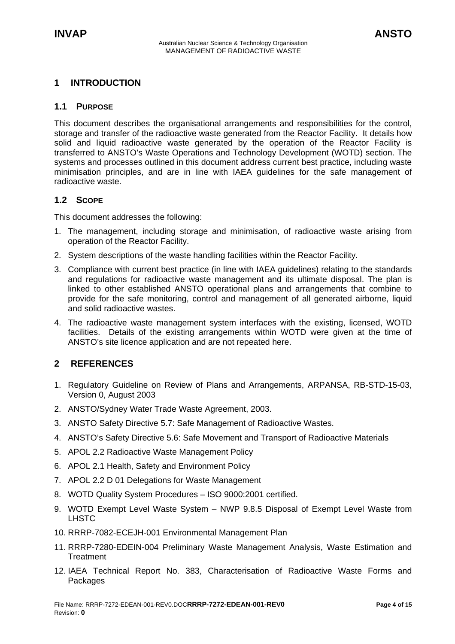# <span id="page-3-0"></span>**1 INTRODUCTION**

#### **1.1 PURPOSE**

This document describes the organisational arrangements and responsibilities for the control, storage and transfer of the radioactive waste generated from the Reactor Facility. It details how solid and liquid radioactive waste generated by the operation of the Reactor Facility is transferred to ANSTO's Waste Operations and Technology Development (WOTD) section. The systems and processes outlined in this document address current best practice, including waste minimisation principles, and are in line with IAEA guidelines for the safe management of radioactive waste.

#### **1.2 SCOPE**

This document addresses the following:

- 1. The management, including storage and minimisation, of radioactive waste arising from operation of the Reactor Facility.
- 2. System descriptions of the waste handling facilities within the Reactor Facility.
- 3. Compliance with current best practice (in line with IAEA guidelines) relating to the standards and regulations for radioactive waste management and its ultimate disposal. The plan is linked to other established ANSTO operational plans and arrangements that combine to provide for the safe monitoring, control and management of all generated airborne, liquid and solid radioactive wastes.
- 4. The radioactive waste management system interfaces with the existing, licensed, WOTD facilities. Details of the existing arrangements within WOTD were given at the time of ANSTO's site licence application and are not repeated here.

#### **2 REFERENCES**

- 1. Regulatory Guideline on Review of Plans and Arrangements, ARPANSA, RB-STD-15-03, Version 0, August 2003
- 2. ANSTO/Sydney Water Trade Waste Agreement, 2003.
- 3. ANSTO Safety Directive 5.7: Safe Management of Radioactive Wastes.
- 4. ANSTO's Safety Directive 5.6: Safe Movement and Transport of Radioactive Materials
- 5. APOL 2.2 Radioactive Waste Management Policy
- 6. APOL 2.1 Health, Safety and Environment Policy
- 7. APOL 2.2 D 01 Delegations for Waste Management
- 8. WOTD Quality System Procedures ISO 9000:2001 certified.
- 9. WOTD Exempt Level Waste System NWP 9.8.5 Disposal of Exempt Level Waste from LHSTC
- 10. RRRP-7082-ECEJH-001 Environmental Management Plan
- 11. RRRP-7280-EDEIN-004 Preliminary Waste Management Analysis, Waste Estimation and **Treatment**
- 12. IAEA Technical Report No. 383, Characterisation of Radioactive Waste Forms and Packages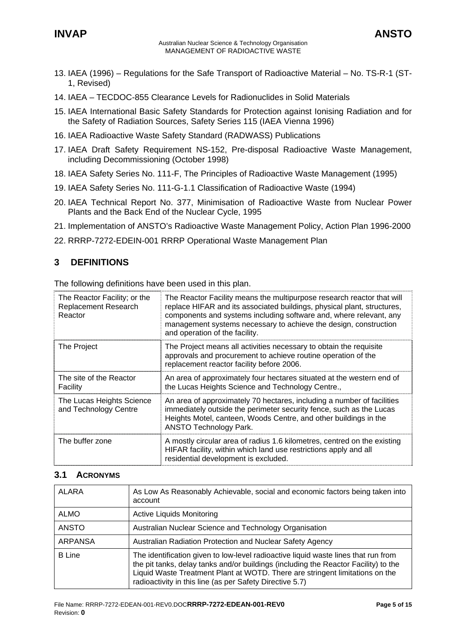- <span id="page-4-0"></span>13. IAEA (1996) – Regulations for the Safe Transport of Radioactive Material – No. TS-R-1 (ST-1, Revised)
- 14. IAEA TECDOC-855 Clearance Levels for Radionuclides in Solid Materials
- 15. IAEA International Basic Safety Standards for Protection against Ionising Radiation and for the Safety of Radiation Sources, Safety Series 115 (IAEA Vienna 1996)
- 16. IAEA Radioactive Waste Safety Standard (RADWASS) Publications
- 17. IAEA Draft Safety Requirement NS-152, Pre-disposal Radioactive Waste Management, including Decommissioning (October 1998)
- 18. IAEA Safety Series No. 111-F, The Principles of Radioactive Waste Management (1995)
- 19. IAEA Safety Series No. 111-G-1.1 Classification of Radioactive Waste (1994)
- 20. IAEA Technical Report No. 377, Minimisation of Radioactive Waste from Nuclear Power Plants and the Back End of the Nuclear Cycle, 1995
- 21. Implementation of ANSTO's Radioactive Waste Management Policy, Action Plan 1996-2000
- 22. RRRP-7272-EDEIN-001 RRRP Operational Waste Management Plan

# **3 DEFINITIONS**

The following definitions have been used in this plan.

| The Reactor Facility; or the<br><b>Replacement Research</b><br>Reactor | The Reactor Facility means the multipurpose research reactor that will<br>replace HIFAR and its associated buildings, physical plant, structures,<br>components and systems including software and, where relevant, any<br>management systems necessary to achieve the design, construction<br>and operation of the facility. |
|------------------------------------------------------------------------|-------------------------------------------------------------------------------------------------------------------------------------------------------------------------------------------------------------------------------------------------------------------------------------------------------------------------------|
| The Project                                                            | The Project means all activities necessary to obtain the requisite<br>approvals and procurement to achieve routine operation of the<br>replacement reactor facility before 2006.                                                                                                                                              |
| The site of the Reactor<br>Facility                                    | An area of approximately four hectares situated at the western end of<br>the Lucas Heights Science and Technology Centre.,                                                                                                                                                                                                    |
| The Lucas Heights Science<br>and Technology Centre                     | An area of approximately 70 hectares, including a number of facilities<br>immediately outside the perimeter security fence, such as the Lucas<br>Heights Motel, canteen, Woods Centre, and other buildings in the<br><b>ANSTO Technology Park.</b>                                                                            |
| The buffer zone                                                        | A mostly circular area of radius 1.6 kilometres, centred on the existing<br>HIFAR facility, within which land use restrictions apply and all<br>residential development is excluded.                                                                                                                                          |

#### **3.1 ACRONYMS**

| ALARA          | As Low As Reasonably Achievable, social and economic factors being taken into<br>account                                                                                                                                                                                                                              |
|----------------|-----------------------------------------------------------------------------------------------------------------------------------------------------------------------------------------------------------------------------------------------------------------------------------------------------------------------|
| <b>ALMO</b>    | <b>Active Liquids Monitoring</b>                                                                                                                                                                                                                                                                                      |
| <b>ANSTO</b>   | Australian Nuclear Science and Technology Organisation                                                                                                                                                                                                                                                                |
| <b>ARPANSA</b> | Australian Radiation Protection and Nuclear Safety Agency                                                                                                                                                                                                                                                             |
| <b>B</b> Line  | The identification given to low-level radioactive liquid waste lines that run from<br>the pit tanks, delay tanks and/or buildings (including the Reactor Facility) to the<br>Liquid Waste Treatment Plant at WOTD. There are stringent limitations on the<br>radioactivity in this line (as per Safety Directive 5.7) |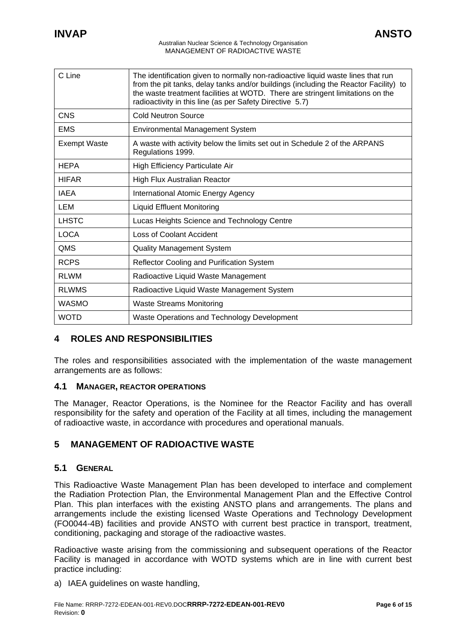<span id="page-5-0"></span>

| C Line              | The identification given to normally non-radioactive liquid waste lines that run<br>from the pit tanks, delay tanks and/or buildings (including the Reactor Facility) to<br>the waste treatment facilities at WOTD. There are stringent limitations on the<br>radioactivity in this line (as per Safety Directive 5.7) |
|---------------------|------------------------------------------------------------------------------------------------------------------------------------------------------------------------------------------------------------------------------------------------------------------------------------------------------------------------|
| <b>CNS</b>          | <b>Cold Neutron Source</b>                                                                                                                                                                                                                                                                                             |
| <b>EMS</b>          | <b>Environmental Management System</b>                                                                                                                                                                                                                                                                                 |
| <b>Exempt Waste</b> | A waste with activity below the limits set out in Schedule 2 of the ARPANS<br>Regulations 1999.                                                                                                                                                                                                                        |
| <b>HEPA</b>         | High Efficiency Particulate Air                                                                                                                                                                                                                                                                                        |
| <b>HIFAR</b>        | High Flux Australian Reactor                                                                                                                                                                                                                                                                                           |
| IAEA                | International Atomic Energy Agency                                                                                                                                                                                                                                                                                     |
| LEM                 | <b>Liquid Effluent Monitoring</b>                                                                                                                                                                                                                                                                                      |
| <b>LHSTC</b>        | Lucas Heights Science and Technology Centre                                                                                                                                                                                                                                                                            |
| <b>LOCA</b>         | Loss of Coolant Accident                                                                                                                                                                                                                                                                                               |
| QMS                 | <b>Quality Management System</b>                                                                                                                                                                                                                                                                                       |
| <b>RCPS</b>         | <b>Reflector Cooling and Purification System</b>                                                                                                                                                                                                                                                                       |
| <b>RLWM</b>         | Radioactive Liquid Waste Management                                                                                                                                                                                                                                                                                    |
| <b>RLWMS</b>        | Radioactive Liquid Waste Management System                                                                                                                                                                                                                                                                             |
| <b>WASMO</b>        | <b>Waste Streams Monitoring</b>                                                                                                                                                                                                                                                                                        |
| WOTD                | Waste Operations and Technology Development                                                                                                                                                                                                                                                                            |

#### **4 ROLES AND RESPONSIBILITIES**

The roles and responsibilities associated with the implementation of the waste management arrangements are as follows:

#### **4.1 MANAGER, REACTOR OPERATIONS**

The Manager, Reactor Operations, is the Nominee for the Reactor Facility and has overall responsibility for the safety and operation of the Facility at all times, including the management of radioactive waste, in accordance with procedures and operational manuals.

# **5 MANAGEMENT OF RADIOACTIVE WASTE**

#### **5.1 GENERAL**

This Radioactive Waste Management Plan has been developed to interface and complement the Radiation Protection Plan, the Environmental Management Plan and the Effective Control Plan. This plan interfaces with the existing ANSTO plans and arrangements. The plans and arrangements include the existing licensed Waste Operations and Technology Development (FO0044-4B) facilities and provide ANSTO with current best practice in transport, treatment, conditioning, packaging and storage of the radioactive wastes.

Radioactive waste arising from the commissioning and subsequent operations of the Reactor Facility is managed in accordance with WOTD systems which are in line with current best practice including:

a) IAEA quidelines on waste handling.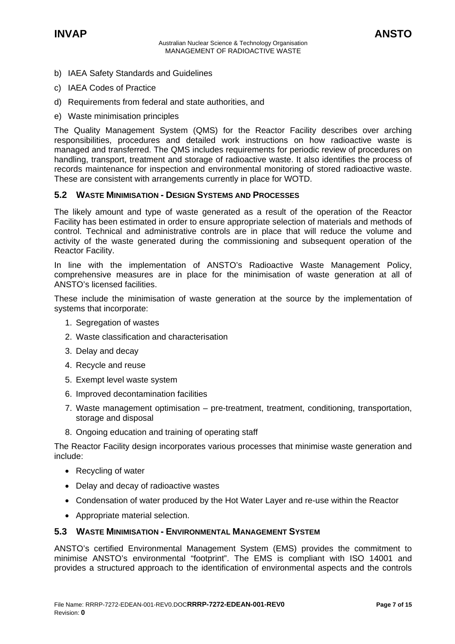- <span id="page-6-0"></span>b) IAEA Safety Standards and Guidelines
- c) IAEA Codes of Practice
- d) Requirements from federal and state authorities, and
- e) Waste minimisation principles

The Quality Management System (QMS) for the Reactor Facility describes over arching responsibilities, procedures and detailed work instructions on how radioactive waste is managed and transferred. The QMS includes requirements for periodic review of procedures on handling, transport, treatment and storage of radioactive waste. It also identifies the process of records maintenance for inspection and environmental monitoring of stored radioactive waste. These are consistent with arrangements currently in place for WOTD.

#### **5.2 WASTE MINIMISATION - DESIGN SYSTEMS AND PROCESSES**

The likely amount and type of waste generated as a result of the operation of the Reactor Facility has been estimated in order to ensure appropriate selection of materials and methods of control. Technical and administrative controls are in place that will reduce the volume and activity of the waste generated during the commissioning and subsequent operation of the Reactor Facility.

In line with the implementation of ANSTO's Radioactive Waste Management Policy, comprehensive measures are in place for the minimisation of waste generation at all of ANSTO's licensed facilities.

These include the minimisation of waste generation at the source by the implementation of systems that incorporate:

- 1. Segregation of wastes
- 2. Waste classification and characterisation
- 3. Delay and decay
- 4. Recycle and reuse
- 5. Exempt level waste system
- 6. Improved decontamination facilities
- 7. Waste management optimisation pre-treatment, treatment, conditioning, transportation, storage and disposal
- 8. Ongoing education and training of operating staff

The Reactor Facility design incorporates various processes that minimise waste generation and include:

- Recycling of water
- Delay and decay of radioactive wastes
- Condensation of water produced by the Hot Water Layer and re-use within the Reactor
- Appropriate material selection.

#### **5.3 WASTE MINIMISATION - ENVIRONMENTAL MANAGEMENT SYSTEM**

ANSTO's certified Environmental Management System (EMS) provides the commitment to minimise ANSTO's environmental "footprint". The EMS is compliant with ISO 14001 and provides a structured approach to the identification of environmental aspects and the controls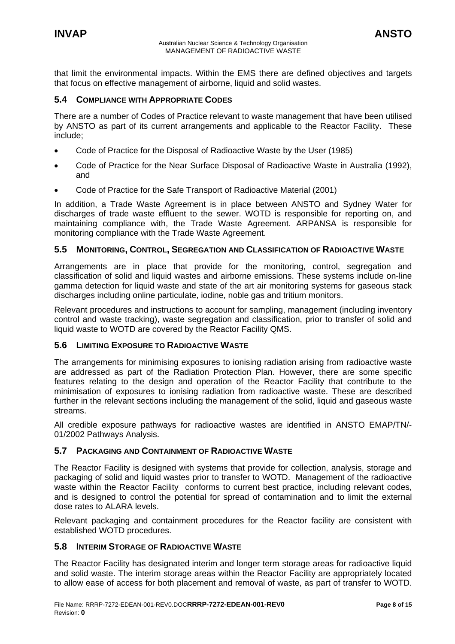<span id="page-7-0"></span>that limit the environmental impacts. Within the EMS there are defined objectives and targets that focus on effective management of airborne, liquid and solid wastes.

#### **5.4 COMPLIANCE WITH APPROPRIATE CODES**

There are a number of Codes of Practice relevant to waste management that have been utilised by ANSTO as part of its current arrangements and applicable to the Reactor Facility. These include;

- Code of Practice for the Disposal of Radioactive Waste by the User (1985)
- Code of Practice for the Near Surface Disposal of Radioactive Waste in Australia (1992), and
- Code of Practice for the Safe Transport of Radioactive Material (2001)

In addition, a Trade Waste Agreement is in place between ANSTO and Sydney Water for discharges of trade waste effluent to the sewer. WOTD is responsible for reporting on, and maintaining compliance with, the Trade Waste Agreement. ARPANSA is responsible for monitoring compliance with the Trade Waste Agreement.

#### **5.5 MONITORING, CONTROL, SEGREGATION AND CLASSIFICATION OF RADIOACTIVE WASTE**

Arrangements are in place that provide for the monitoring, control, segregation and classification of solid and liquid wastes and airborne emissions. These systems include on-line gamma detection for liquid waste and state of the art air monitoring systems for gaseous stack discharges including online particulate, iodine, noble gas and tritium monitors.

Relevant procedures and instructions to account for sampling, management (including inventory control and waste tracking), waste segregation and classification, prior to transfer of solid and liquid waste to WOTD are covered by the Reactor Facility QMS.

#### **5.6 LIMITING EXPOSURE TO RADIOACTIVE WASTE**

The arrangements for minimising exposures to ionising radiation arising from radioactive waste are addressed as part of the Radiation Protection Plan. However, there are some specific features relating to the design and operation of the Reactor Facility that contribute to the minimisation of exposures to ionising radiation from radioactive waste. These are described further in the relevant sections including the management of the solid, liquid and gaseous waste streams.

All credible exposure pathways for radioactive wastes are identified in ANSTO EMAP/TN/- 01/2002 Pathways Analysis.

#### **5.7 PACKAGING AND CONTAINMENT OF RADIOACTIVE WASTE**

The Reactor Facility is designed with systems that provide for collection, analysis, storage and packaging of solid and liquid wastes prior to transfer to WOTD. Management of the radioactive waste within the Reactor Facility conforms to current best practice, including relevant codes, and is designed to control the potential for spread of contamination and to limit the external dose rates to ALARA levels.

Relevant packaging and containment procedures for the Reactor facility are consistent with established WOTD procedures.

## **5.8 INTERIM STORAGE OF RADIOACTIVE WASTE**

The Reactor Facility has designated interim and longer term storage areas for radioactive liquid and solid waste. The interim storage areas within the Reactor Facility are appropriately located to allow ease of access for both placement and removal of waste, as part of transfer to WOTD.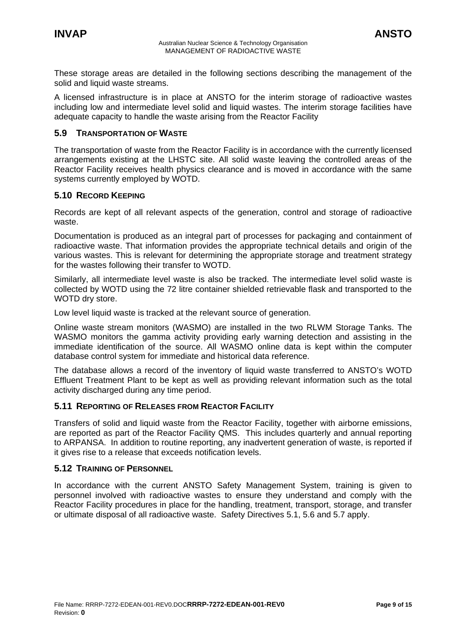<span id="page-8-0"></span>These storage areas are detailed in the following sections describing the management of the solid and liquid waste streams.

A licensed infrastructure is in place at ANSTO for the interim storage of radioactive wastes including low and intermediate level solid and liquid wastes. The interim storage facilities have adequate capacity to handle the waste arising from the Reactor Facility

#### **5.9 TRANSPORTATION OF WASTE**

The transportation of waste from the Reactor Facility is in accordance with the currently licensed arrangements existing at the LHSTC site. All solid waste leaving the controlled areas of the Reactor Facility receives health physics clearance and is moved in accordance with the same systems currently employed by WOTD.

#### **5.10 RECORD KEEPING**

Records are kept of all relevant aspects of the generation, control and storage of radioactive waste.

Documentation is produced as an integral part of processes for packaging and containment of radioactive waste. That information provides the appropriate technical details and origin of the various wastes. This is relevant for determining the appropriate storage and treatment strategy for the wastes following their transfer to WOTD.

Similarly, all intermediate level waste is also be tracked. The intermediate level solid waste is collected by WOTD using the 72 litre container shielded retrievable flask and transported to the WOTD dry store.

Low level liquid waste is tracked at the relevant source of generation.

Online waste stream monitors (WASMO) are installed in the two RLWM Storage Tanks. The WASMO monitors the gamma activity providing early warning detection and assisting in the immediate identification of the source. All WASMO online data is kept within the computer database control system for immediate and historical data reference.

The database allows a record of the inventory of liquid waste transferred to ANSTO's WOTD Effluent Treatment Plant to be kept as well as providing relevant information such as the total activity discharged during any time period.

#### **5.11 REPORTING OF RELEASES FROM REACTOR FACILITY**

Transfers of solid and liquid waste from the Reactor Facility, together with airborne emissions, are reported as part of the Reactor Facility QMS. This includes quarterly and annual reporting to ARPANSA. In addition to routine reporting, any inadvertent generation of waste, is reported if it gives rise to a release that exceeds notification levels.

#### **5.12 TRAINING OF PERSONNEL**

In accordance with the current ANSTO Safety Management System, training is given to personnel involved with radioactive wastes to ensure they understand and comply with the Reactor Facility procedures in place for the handling, treatment, transport, storage, and transfer or ultimate disposal of all radioactive waste. Safety Directives 5.1, 5.6 and 5.7 apply.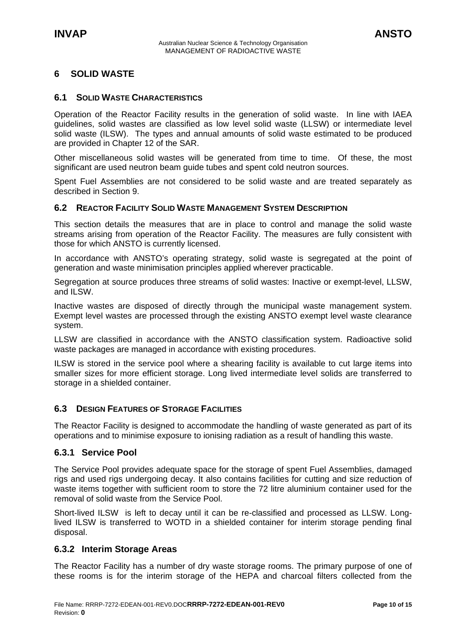# <span id="page-9-0"></span>**6 SOLID WASTE**

#### **6.1 SOLID WASTE CHARACTERISTICS**

Operation of the Reactor Facility results in the generation of solid waste. In line with IAEA guidelines, solid wastes are classified as low level solid waste (LLSW) or intermediate level solid waste (ILSW). The types and annual amounts of solid waste estimated to be produced are provided in Chapter 12 of the SAR.

Other miscellaneous solid wastes will be generated from time to time. Of these, the most significant are used neutron beam guide tubes and spent cold neutron sources.

Spent Fuel Assemblies are not considered to be solid waste and are treated separately as described in Section 9.

#### **6.2 REACTOR FACILITY SOLID WASTE MANAGEMENT SYSTEM DESCRIPTION**

This section details the measures that are in place to control and manage the solid waste streams arising from operation of the Reactor Facility. The measures are fully consistent with those for which ANSTO is currently licensed.

In accordance with ANSTO's operating strategy, solid waste is segregated at the point of generation and waste minimisation principles applied wherever practicable.

Segregation at source produces three streams of solid wastes: Inactive or exempt-level, LLSW, and II SW.

Inactive wastes are disposed of directly through the municipal waste management system. Exempt level wastes are processed through the existing ANSTO exempt level waste clearance system.

LLSW are classified in accordance with the ANSTO classification system. Radioactive solid waste packages are managed in accordance with existing procedures.

ILSW is stored in the service pool where a shearing facility is available to cut large items into smaller sizes for more efficient storage. Long lived intermediate level solids are transferred to storage in a shielded container.

#### **6.3 DESIGN FEATURES OF STORAGE FACILITIES**

The Reactor Facility is designed to accommodate the handling of waste generated as part of its operations and to minimise exposure to ionising radiation as a result of handling this waste.

#### **6.3.1 Service Pool**

The Service Pool provides adequate space for the storage of spent Fuel Assemblies, damaged rigs and used rigs undergoing decay. It also contains facilities for cutting and size reduction of waste items together with sufficient room to store the 72 litre aluminium container used for the removal of solid waste from the Service Pool.

Short-lived ILSW is left to decay until it can be re-classified and processed as LLSW. Longlived ILSW is transferred to WOTD in a shielded container for interim storage pending final disposal.

#### **6.3.2 Interim Storage Areas**

The Reactor Facility has a number of dry waste storage rooms. The primary purpose of one of these rooms is for the interim storage of the HEPA and charcoal filters collected from the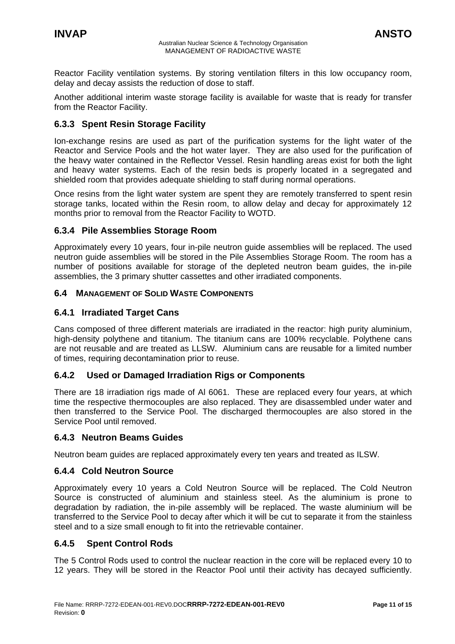<span id="page-10-0"></span>Reactor Facility ventilation systems. By storing ventilation filters in this low occupancy room, delay and decay assists the reduction of dose to staff.

Another additional interim waste storage facility is available for waste that is ready for transfer from the Reactor Facility.

# **6.3.3 Spent Resin Storage Facility**

Ion-exchange resins are used as part of the purification systems for the light water of the Reactor and Service Pools and the hot water layer. They are also used for the purification of the heavy water contained in the Reflector Vessel. Resin handling areas exist for both the light and heavy water systems. Each of the resin beds is properly located in a segregated and shielded room that provides adequate shielding to staff during normal operations.

Once resins from the light water system are spent they are remotely transferred to spent resin storage tanks, located within the Resin room, to allow delay and decay for approximately 12 months prior to removal from the Reactor Facility to WOTD.

#### **6.3.4 Pile Assemblies Storage Room**

Approximately every 10 years, four in-pile neutron guide assemblies will be replaced. The used neutron guide assemblies will be stored in the Pile Assemblies Storage Room. The room has a number of positions available for storage of the depleted neutron beam guides, the in-pile assemblies, the 3 primary shutter cassettes and other irradiated components.

#### **6.4 MANAGEMENT OF SOLID WASTE COMPONENTS**

#### **6.4.1 Irradiated Target Cans**

Cans composed of three different materials are irradiated in the reactor: high purity aluminium, high-density polythene and titanium. The titanium cans are 100% recyclable. Polythene cans are not reusable and are treated as LLSW. Aluminium cans are reusable for a limited number of times, requiring decontamination prior to reuse.

#### **6.4.2 Used or Damaged Irradiation Rigs or Components**

There are 18 irradiation rigs made of AI 6061. These are replaced every four years, at which time the respective thermocouples are also replaced. They are disassembled under water and then transferred to the Service Pool. The discharged thermocouples are also stored in the Service Pool until removed.

#### **6.4.3 Neutron Beams Guides**

Neutron beam guides are replaced approximately every ten years and treated as ILSW.

#### **6.4.4 Cold Neutron Source**

Approximately every 10 years a Cold Neutron Source will be replaced. The Cold Neutron Source is constructed of aluminium and stainless steel. As the aluminium is prone to degradation by radiation, the in-pile assembly will be replaced. The waste aluminium will be transferred to the Service Pool to decay after which it will be cut to separate it from the stainless steel and to a size small enough to fit into the retrievable container.

#### **6.4.5 Spent Control Rods**

The 5 Control Rods used to control the nuclear reaction in the core will be replaced every 10 to 12 years. They will be stored in the Reactor Pool until their activity has decayed sufficiently.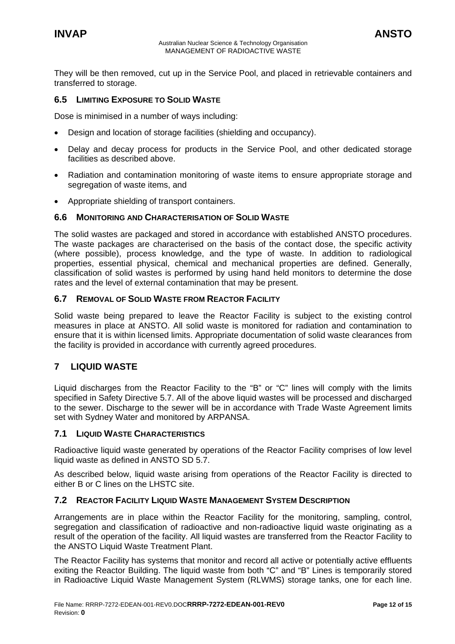<span id="page-11-0"></span>They will be then removed, cut up in the Service Pool, and placed in retrievable containers and transferred to storage.

#### **6.5 LIMITING EXPOSURE TO SOLID WASTE**

Dose is minimised in a number of ways including:

- Design and location of storage facilities (shielding and occupancy).
- Delay and decay process for products in the Service Pool, and other dedicated storage facilities as described above.
- Radiation and contamination monitoring of waste items to ensure appropriate storage and segregation of waste items, and
- Appropriate shielding of transport containers.

#### **6.6 MONITORING AND CHARACTERISATION OF SOLID WASTE**

The solid wastes are packaged and stored in accordance with established ANSTO procedures. The waste packages are characterised on the basis of the contact dose, the specific activity (where possible), process knowledge, and the type of waste. In addition to radiological properties, essential physical, chemical and mechanical properties are defined. Generally, classification of solid wastes is performed by using hand held monitors to determine the dose rates and the level of external contamination that may be present.

#### **6.7 REMOVAL OF SOLID WASTE FROM REACTOR FACILITY**

Solid waste being prepared to leave the Reactor Facility is subject to the existing control measures in place at ANSTO. All solid waste is monitored for radiation and contamination to ensure that it is within licensed limits. Appropriate documentation of solid waste clearances from the facility is provided in accordance with currently agreed procedures.

#### **7 LIQUID WASTE**

Liquid discharges from the Reactor Facility to the "B" or "C" lines will comply with the limits specified in Safety Directive 5.7. All of the above liquid wastes will be processed and discharged to the sewer. Discharge to the sewer will be in accordance with Trade Waste Agreement limits set with Sydney Water and monitored by ARPANSA.

#### **7.1 LIQUID WASTE CHARACTERISTICS**

Radioactive liquid waste generated by operations of the Reactor Facility comprises of low level liquid waste as defined in ANSTO SD 5.7.

As described below, liquid waste arising from operations of the Reactor Facility is directed to either B or C lines on the LHSTC site.

#### **7.2 REACTOR FACILITY LIQUID WASTE MANAGEMENT SYSTEM DESCRIPTION**

Arrangements are in place within the Reactor Facility for the monitoring, sampling, control, segregation and classification of radioactive and non-radioactive liquid waste originating as a result of the operation of the facility. All liquid wastes are transferred from the Reactor Facility to the ANSTO Liquid Waste Treatment Plant.

The Reactor Facility has systems that monitor and record all active or potentially active effluents exiting the Reactor Building. The liquid waste from both "C" and "B" Lines is temporarily stored in Radioactive Liquid Waste Management System (RLWMS) storage tanks, one for each line.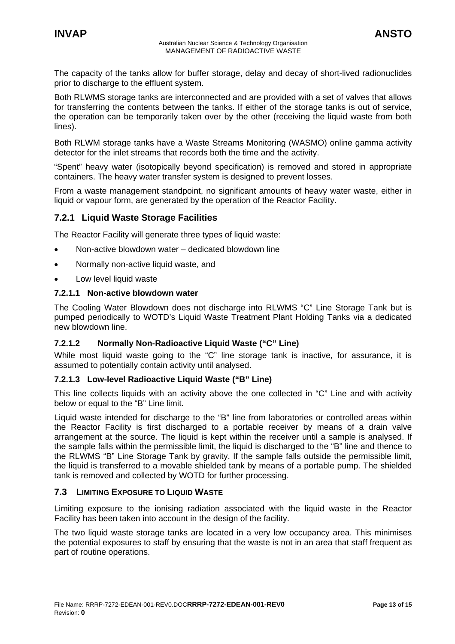<span id="page-12-0"></span>The capacity of the tanks allow for buffer storage, delay and decay of short-lived radionuclides prior to discharge to the effluent system.

Both RLWMS storage tanks are interconnected and are provided with a set of valves that allows for transferring the contents between the tanks. If either of the storage tanks is out of service, the operation can be temporarily taken over by the other (receiving the liquid waste from both lines).

Both RLWM storage tanks have a Waste Streams Monitoring (WASMO) online gamma activity detector for the inlet streams that records both the time and the activity.

"Spent" heavy water (isotopically beyond specification) is removed and stored in appropriate containers. The heavy water transfer system is designed to prevent losses.

From a waste management standpoint, no significant amounts of heavy water waste, either in liquid or vapour form, are generated by the operation of the Reactor Facility.

#### **7.2.1 Liquid Waste Storage Facilities**

The Reactor Facility will generate three types of liquid waste:

- Non-active blowdown water dedicated blowdown line
- Normally non-active liquid waste, and
- Low level liquid waste

#### **7.2.1.1 Non-active blowdown water**

The Cooling Water Blowdown does not discharge into RLWMS "C" Line Storage Tank but is pumped periodically to WOTD's Liquid Waste Treatment Plant Holding Tanks via a dedicated new blowdown line.

#### **7.2.1.2 Normally Non-Radioactive Liquid Waste ("C" Line)**

While most liquid waste going to the "C" line storage tank is inactive, for assurance, it is assumed to potentially contain activity until analysed.

#### **7.2.1.3 Low-level Radioactive Liquid Waste ("B" Line)**

This line collects liquids with an activity above the one collected in "C" Line and with activity below or equal to the "B" Line limit.

Liquid waste intended for discharge to the "B" line from laboratories or controlled areas within the Reactor Facility is first discharged to a portable receiver by means of a drain valve arrangement at the source. The liquid is kept within the receiver until a sample is analysed. If the sample falls within the permissible limit, the liquid is discharged to the "B" line and thence to the RLWMS "B" Line Storage Tank by gravity. If the sample falls outside the permissible limit, the liquid is transferred to a movable shielded tank by means of a portable pump. The shielded tank is removed and collected by WOTD for further processing.

#### **7.3 LIMITING EXPOSURE TO LIQUID WASTE**

Limiting exposure to the ionising radiation associated with the liquid waste in the Reactor Facility has been taken into account in the design of the facility.

The two liquid waste storage tanks are located in a very low occupancy area. This minimises the potential exposures to staff by ensuring that the waste is not in an area that staff frequent as part of routine operations.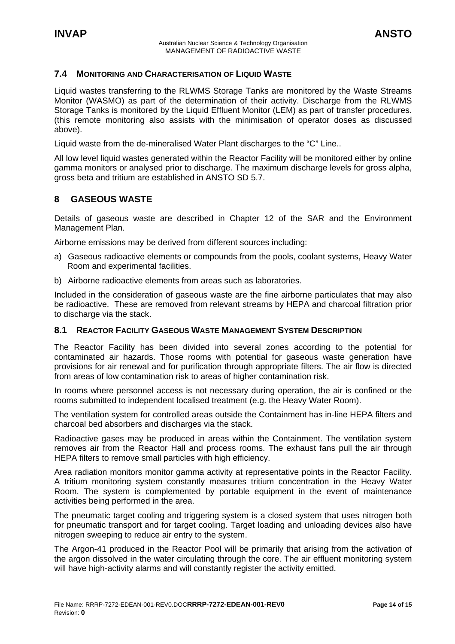#### <span id="page-13-0"></span>**7.4 MONITORING AND CHARACTERISATION OF LIQUID WASTE**

Liquid wastes transferring to the RLWMS Storage Tanks are monitored by the Waste Streams Monitor (WASMO) as part of the determination of their activity. Discharge from the RLWMS Storage Tanks is monitored by the Liquid Effluent Monitor (LEM) as part of transfer procedures. (this remote monitoring also assists with the minimisation of operator doses as discussed above).

Liquid waste from the de-mineralised Water Plant discharges to the "C" Line..

All low level liquid wastes generated within the Reactor Facility will be monitored either by online gamma monitors or analysed prior to discharge. The maximum discharge levels for gross alpha, gross beta and tritium are established in ANSTO SD 5.7.

#### **8 GASEOUS WASTE**

Details of gaseous waste are described in Chapter 12 of the SAR and the Environment Management Plan.

Airborne emissions may be derived from different sources including:

- a) Gaseous radioactive elements or compounds from the pools, coolant systems, Heavy Water Room and experimental facilities.
- b) Airborne radioactive elements from areas such as laboratories.

Included in the consideration of gaseous waste are the fine airborne particulates that may also be radioactive. These are removed from relevant streams by HEPA and charcoal filtration prior to discharge via the stack.

#### **8.1 REACTOR FACILITY GASEOUS WASTE MANAGEMENT SYSTEM DESCRIPTION**

The Reactor Facility has been divided into several zones according to the potential for contaminated air hazards. Those rooms with potential for gaseous waste generation have provisions for air renewal and for purification through appropriate filters. The air flow is directed from areas of low contamination risk to areas of higher contamination risk.

In rooms where personnel access is not necessary during operation, the air is confined or the rooms submitted to independent localised treatment (e.g. the Heavy Water Room).

The ventilation system for controlled areas outside the Containment has in-line HEPA filters and charcoal bed absorbers and discharges via the stack.

Radioactive gases may be produced in areas within the Containment. The ventilation system removes air from the Reactor Hall and process rooms. The exhaust fans pull the air through HEPA filters to remove small particles with high efficiency.

Area radiation monitors monitor gamma activity at representative points in the Reactor Facility. A tritium monitoring system constantly measures tritium concentration in the Heavy Water Room. The system is complemented by portable equipment in the event of maintenance activities being performed in the area.

The pneumatic target cooling and triggering system is a closed system that uses nitrogen both for pneumatic transport and for target cooling. Target loading and unloading devices also have nitrogen sweeping to reduce air entry to the system.

The Argon-41 produced in the Reactor Pool will be primarily that arising from the activation of the argon dissolved in the water circulating through the core. The air effluent monitoring system will have high-activity alarms and will constantly register the activity emitted.